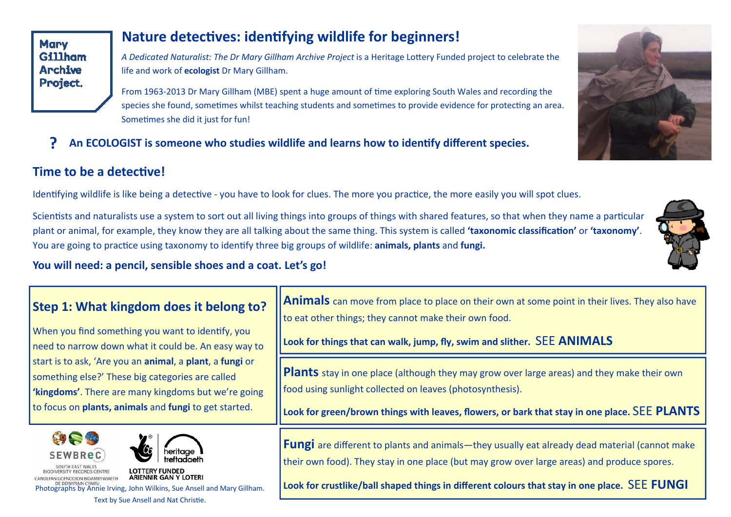## **Nature detectives: identifying wildlife for beginners!**

*A Dedicated Naturalist: The Dr Mary Gillham Archive Project* is a Heritage LoƩery Funded project to celebrate the life and work of **ecologist** Dr Mary Gillham.

From 1963-2013 Dr Mary Gillham (MBE) spent a huge amount of time exploring South Wales and recording the species she found, sometimes whilst teaching students and sometimes to provide evidence for protecting an area. Sometimes she did it just for fun!

**?** An ECOLOGIST is someone who studies wildlife and learns how to identify different species.

## **Time to be a detective!**

Identifying wildlife is like being a detective - you have to look for clues. The more you practice, the more easily you will spot clues.

Scientists and naturalists use a system to sort out all living things into groups of things with shared features, so that when they name a particular plant or animal, for example, they know they are all talking about the same thing. This system is called **'taxonomic classificaƟon'** or **'taxonomy'**. You are going to practice using taxonomy to identify three big groups of wildlife: **animals, plants** and **fungi.** 

#### **You will need: a pencil, sensible shoes and a coat. Let's go!**

| Step 1: What kingdom does it belong to?<br>When you find something you want to identify, you<br>need to narrow down what it could be. An easy way to<br>start is to ask, 'Are you an animal, a plant, a fungi or<br>something else?' These big categories are called<br>'kingdoms'. There are many kingdoms but we're going<br>to focus on plants, animals and fungi to get started. | <b>Animals</b> can move from place to place on their own at some point in their lives. They also have<br>to eat other things; they cannot make their own food.<br>Look for things that can walk, jump, fly, swim and slither. SEE ANIMALS                                                           |
|--------------------------------------------------------------------------------------------------------------------------------------------------------------------------------------------------------------------------------------------------------------------------------------------------------------------------------------------------------------------------------------|-----------------------------------------------------------------------------------------------------------------------------------------------------------------------------------------------------------------------------------------------------------------------------------------------------|
|                                                                                                                                                                                                                                                                                                                                                                                      | <b>Plants</b> stay in one place (although they may grow over large areas) and they make their own<br>food using sunlight collected on leaves (photosynthesis).<br>Look for green/brown things with leaves, flowers, or bark that stay in one place. SEE PLANTS                                      |
| 安全学<br><b>SEWBReC</b><br>treftadaeth<br>SOUTH EAST WALES<br><b>LOTTERY FUNDED</b><br><b>VERSITY RECORDS CENTRE</b><br><b>ARIENNIR GAN Y LOTERI</b><br>DE DDWYRAIN CYMRU<br>Photographs by Annie Irving, John Wilkins, Sue Ansell and Mary Gillham.<br>Text by Sue Ansell and Nat Christie.                                                                                           | <b>Fungi</b> are different to plants and animals—they usually eat already dead material (cannot make<br>their own food). They stay in one place (but may grow over large areas) and produce spores.<br>Look for crustlike/ball shaped things in different colours that stay in one place. SEE FUNGI |



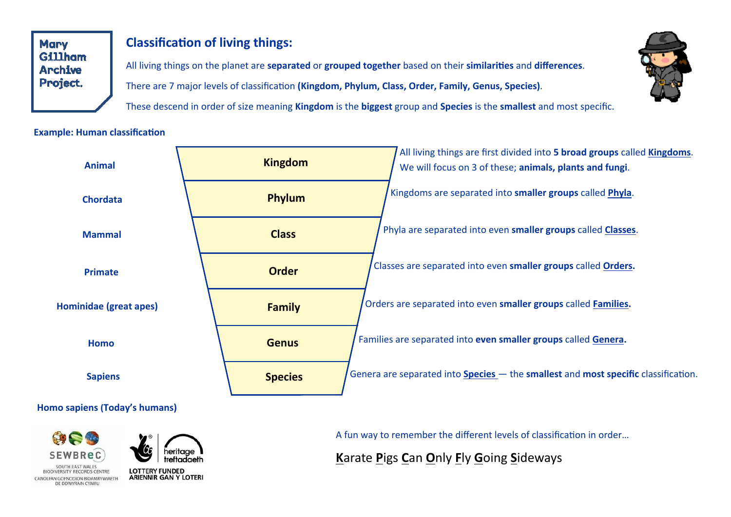# **Classification of living things:**

All living things on the planet are separated or grouped together based on their similarities and differences. There are 7 major levels of classification (Kingdom, Phylum, Class, Order, Family, Genus, Species).

These descend in order of size meaning Kingdom is the biggest group and Species is the smallest and most specific.

#### **Example: Human classification**



#### Homo sapiens (Today's humans)





**LOTTERY FUNDED ARIENNIR GAN Y LOTERI**  A fun way to remember the different levels of classification in order...

Karate Pigs Can Only Fly Going Sideways

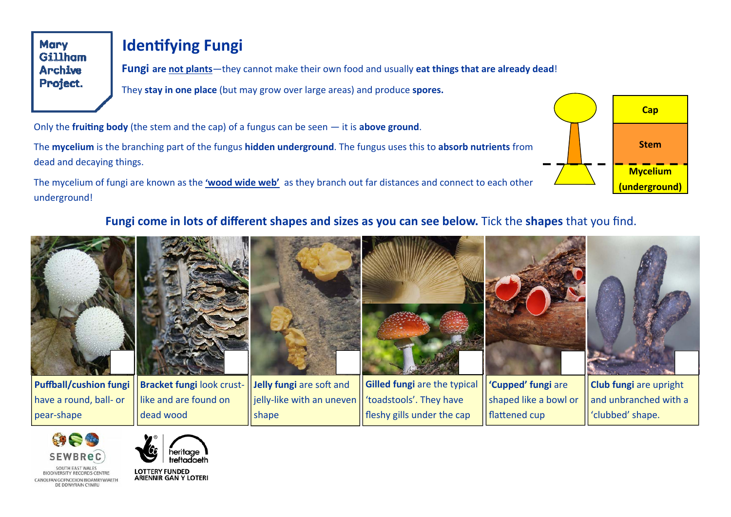# **Identifying Fungi**

**Fungi are not plants**—they cannot make their own food and usually **eat things that are already dead**! They **stay in one place** (but may grow over large areas) and produce **spores.**

Only the **fruiting body** (the stem and the cap) of a fungus can be seen  $-$  it is **above ground**.

The **mycelium** is the branching part of the fungus **hidden underground**. The fungus uses this to **absorb nutrients** from dead and decaying things.

The mycelium of fungi are known as the **'wood wide web'** as they branch out far distances and connect to each other underground!

# **Cap Stem Mycelium (underground)**

### **Fungi come in lots of different shapes and sizes as you can see below.** Tick the **shapes** that you find.





COUTH EAST WALES **RIODIVERSITY RECORDS CENTRE** CANOLEAN GOENODION BIOAMRYWIAETH DE DDWYRAIN CYMRU



**LOTTERY FUNDED ARIENNIR GAN Y LOTERI**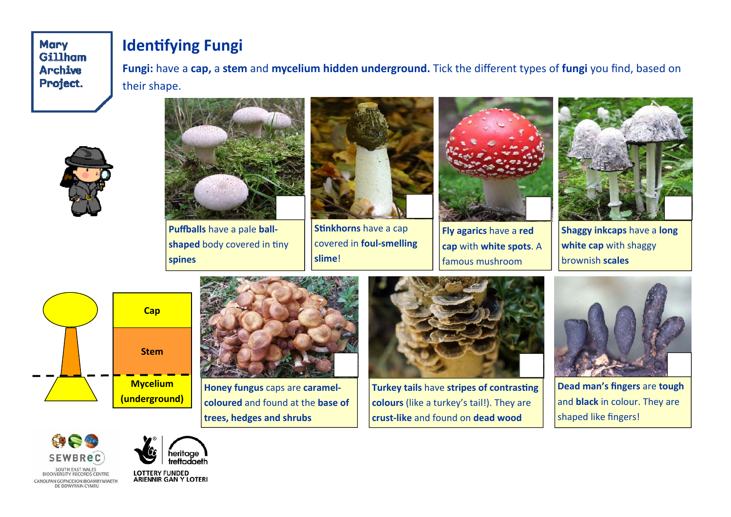# **Identifying Fungi**

**Fungi:** have a **cap,** a **stem** and **mycelium hidden underground.** Tick the different types of **fungi** you find, based on their shape.





**PuĪalls** have a pale **ball‐** shaped body covered in tiny **spines**



**Stinkhorns** have a cap covered in **foul‐smelling slime**!



**Fly agarics** have a **red cap** with **white spots**. A famous mushroom



**Shaggy inkcaps** have a **long white cap** with shaggy brownish **scales**





**Honey fungus** caps are **caramel‐ coloured** and found at the **base of trees, hedges and shrubs**



**Turkey tails have stripes of contrasting colours** (like a turkey's tail!). They are **crust‐like** and found on **dead wood** 



**Dead man's fingers** are **tough**  and **black** in colour. They are shaped like fingers!





LOTTERY FUNDED<br>ARIENNIR GAN Y LOTERI